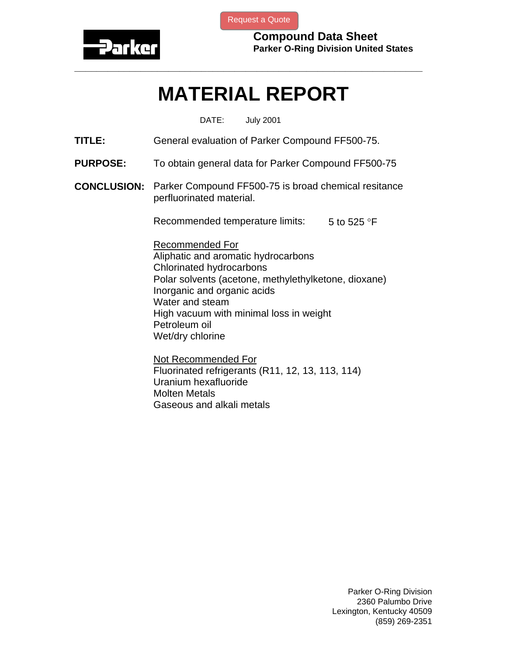

[Request a Quote](http://www.marcorubber.com/contact_quote.htm?material=Parker+FF500-75)

**Compound Data Sheet Parker O-Ring Division United States** 

## **MATERIAL REPORT**

**\_\_\_\_\_\_\_\_\_\_\_\_\_\_\_\_\_\_\_\_\_\_\_\_\_\_\_\_\_\_\_\_\_\_\_\_\_\_\_\_\_\_\_\_\_\_\_\_\_\_\_\_\_\_\_\_\_\_\_\_\_\_\_** 

DATE: July 2001

- **TITLE:** General evaluation of Parker Compound FF500-75.
- **PURPOSE:** To obtain general data for Parker Compound FF500-75
- **CONCLUSION:** Parker Compound FF500-75 is broad chemical resitance perfluorinated material.

Recommended temperature limits:  $5$  to 525 °F

Recommended For Aliphatic and aromatic hydrocarbons Chlorinated hydrocarbons Polar solvents (acetone, methylethylketone, dioxane) Inorganic and organic acids Water and steam High vacuum with minimal loss in weight Petroleum oil Wet/dry chlorine

Not Recommended For Fluorinated refrigerants (R11, 12, 13, 113, 114) Uranium hexafluoride Molten Metals Gaseous and alkali metals

> Parker O-Ring Division 2360 Palumbo Drive Lexington, Kentucky 40509 (859) 269-2351